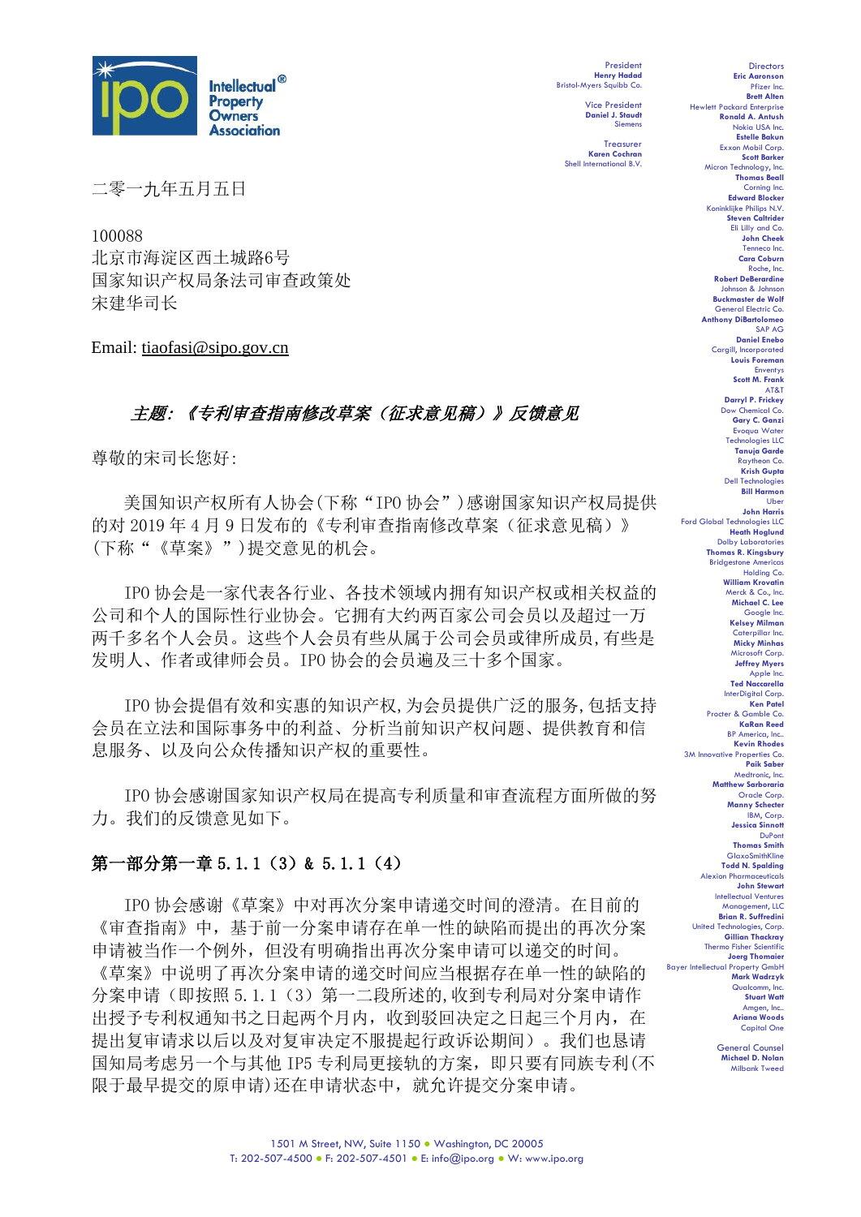

President **Henry Hadad** Bristol-Myers Squibb Co.

> Vice President **Daniel J. Staudt** Siemens

**Treasurer Karen Cochran** Shell International B.V.

二零一九年五月五日

100088 北京市海淀区西土城路6号 国家知识产权局条法司审查政策处 宋建华司长

Email: tiaofasi@sipo.gov.cn

# 主题: 《专利审查指南修改草案(征求意见稿)》反馈意见

尊敬的宋司长您好:

美国知识产权所有人协会(下称"IPO 协会")感谢国家知识产权局提供 的对 2019 年 4 月 9 日发布的《专利审查指南修改草案(征求意见稿)》 (下称"《草案》")提交意见的机会。

IPO 协会是一家代表各行业、各技术领域内拥有知识产权或相关权益的 公司和个人的国际性行业协会。它拥有大约两百家公司会员以及超过一万 两千多名个人会员。这些个人会员有些从属于公司会员或律所成员,有些是 发明人、作者或律师会员。IPO 协会的会员遍及三十多个国家。

IPO 协会提倡有效和实惠的知识产权,为会员提供广泛的服务,包括支持 会员在立法和国际事务中的利益、分析当前知识产权问题、提供教育和信 息服务、以及向公众传播知识产权的重要性。

IPO 协会感谢国家知识产权局在提高专利质量和审查流程方面所做的努 力。我们的反馈意见如下。

### 第一部分第一章 5.1.1 (3) & 5.1.1 (4)

IPO 协会感谢《草案》中对再次分案申请递交时间的澄清。在目前的 《审查指南》中,基于前一分案申请存在单一性的缺陷而提出的再次分案 申请被当作一个例外,但没有明确指出再次分案申请可以递交的时间。 《草案》中说明了再次分案申请的递交时间应当根据存在单一性的缺陷的 分案申请(即按照 5.1.1(3)第一二段所述的,收到专利局对分案申请作 出授予专利权通知书之日起两个月内,收到驳回决定之日起三个月内,在 提出复审请求以后以及对复审决定不服提起行政诉讼期间)。我们也恳请 国知局考虑另一个与其他 IP5 专利局更接轨的方案,即只要有同族专利(不 限于最早提交的原申请)还在申请状态中,就允许提交分案申请。

**Estelle Bakun** Exxon Mobil Corp. **Scott Barker** Micron Technology, Inc. **Thomas Beall** Corning Inc. **Edward Blocker** Koninklijke Philips N.V. **Steven Caltrider** Eli Lilly and Co. **John Cheek** Tenneco Inc. **Cara Coburn** Roche, Inc. **Robert DeBerardine** Johnson & Johnson **Buckmaster de Wolf** General Electric Co. **Anthony DiBartolomeo** SAP AG **Daniel Enebo** Cargill, Incorporated **Louis Foreman Enventys Scott M. Frank** AT&T **Darryl P. Frickey** Dow Chemical Co. **Gary C. Ganzi** Evoqua Water Technologies LLC **Tanuja Garde** Raytheon Co. **Krish Gupta** Dell Technologies **Bill Harmon** Uber **John Harris** Ford Global Technologies LLC **Heath Hoglund** Dolby Laboratories **Thomas R. Kingsbury Bridgestone America** Holding Co. **William Krovatin** Merck & Co., Inc. **Michael C. Lee** Google Inc. **Kelsey Milman** Caterpillar Inc. **Micky Minhas** Microsoft Corp. **Jeffrey Myers** Apple Inc. **Ted Naccarella** InterDigital Corp. **Ken Patel** Procter & Gamble Co. **KaRan Reed** BP America, Inc.. **Kevin Rhodes** 3M Innovative Properties Co. **Paik Saber** Medtronic, Inc. **Matthew Sarboraria** Oracle Corp. **Manny Schecter** IBM, Corp. **Jessica Sinnott** DuPon **Thomas Smith GlaxoSmithKline Todd N. Spalding** Alexion Pharma **John Stewart** Intellectual Ventures Management, LLC **Brian R. Suffredini** United Technologies, Corp. **Gillian Thackray** Thermo Fisher Scientific **Joerg Thomaier** Bayer Intellectual Property GmbH **Mark Wadrzyk** Qualcomm, Inc. **Stuart Watt** Amgen, Inc.. **Ariana Woods** Capital One

**Directors Eric Aaronson**  Pfizer Inc. **Brett Alten**

Hewlett Packard Enterprise **Ronald A. Antush** Nokia USA Inc.

> General Counsel **Michael D. Nolan** Milbank Tweed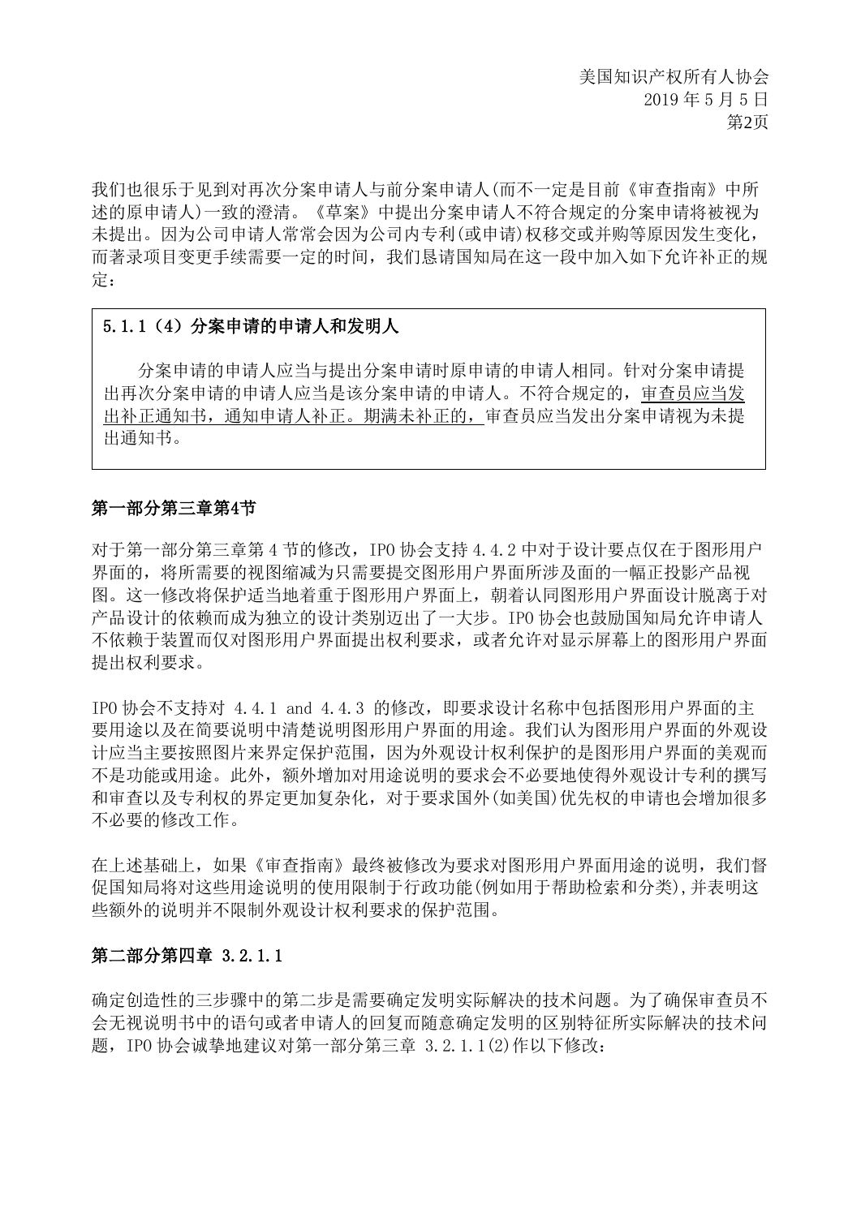我们也很乐于见到对再次分案申请人与前分案申请人(而不一定是目前《审查指南》中所 述的原申请人)一致的澄清。《草案》中提出分案申请人不符合规定的分案申请将被视为 未提出。因为公司申请人常常会因为公司内专利(或申请)权移交或并购等原因发生变化, 而著录项目变更手续需要一定的时间,我们恳请国知局在这一段中加入如下允许补正的规 定:

### 5.1.1(4)分案申请的申请人和发明人

分案申请的申请人应当与提出分案申请时原申请的申请人相同。针对分案申请提 出再次分案申请的申请人应当是该分案申请的申请人。不符合规定的,审查员应当发 出补正通知书,通知申请人补正。期满未补正的,审查员应当发出分案申请视为未提 出通知书。

#### 第一部分第三章第4节

对于第一部分第三章第 4 节的修改, IPO 协会支持 4.4.2 中对于设计要点仅在于图形用户 界面的,将所需要的视图缩减为只需要提交图形用户界面所涉及面的一幅正投影产品视 图。这一修改将保护适当地着重于图形用户界面上,朝着认同图形用户界面设计脱离于对 产品设计的依赖而成为独立的设计类别迈出了一大步。IPO 协会也鼓励国知局允许申请人 不依赖于装置而仅对图形用户界面提出权利要求,或者允许对显示屏幕上的图形用户界面 提出权利要求。

IPO 协会不支持对 4.4.1 and 4.4.3 的修改,即要求设计名称中包括图形用户界面的主 要用途以及在简要说明中清楚说明图形用户界面的用途。我们认为图形用户界面的外观设 计应当主要按照图片来界定保护范围,因为外观设计权利保护的是图形用户界面的美观而 不是功能或用途。此外,额外增加对用途说明的要求会不必要地使得外观设计专利的撰写 和审查以及专利权的界定更加复杂化,对于要求国外(如美国)优先权的申请也会增加很多 不必要的修改工作。

在上述基础上,如果《审查指南》最终被修改为要求对图形用户界面用途的说明,我们督 促国知局将对这些用途说明的使用限制于行政功能(例如用于帮助检索和分类),并表明这 些额外的说明并不限制外观设计权利要求的保护范围。

#### 第二部分第四章 3.2.1.1

确定创造性的三步骤中的第二步是需要确定发明实际解决的技术问题。为了确保审查员不 会无视说明书中的语句或者申请人的回复而随意确定发明的区别特征所实际解决的技术问 题,IPO 协会诚挚地建议对第一部分第三章 3.2.1.1(2)作以下修改: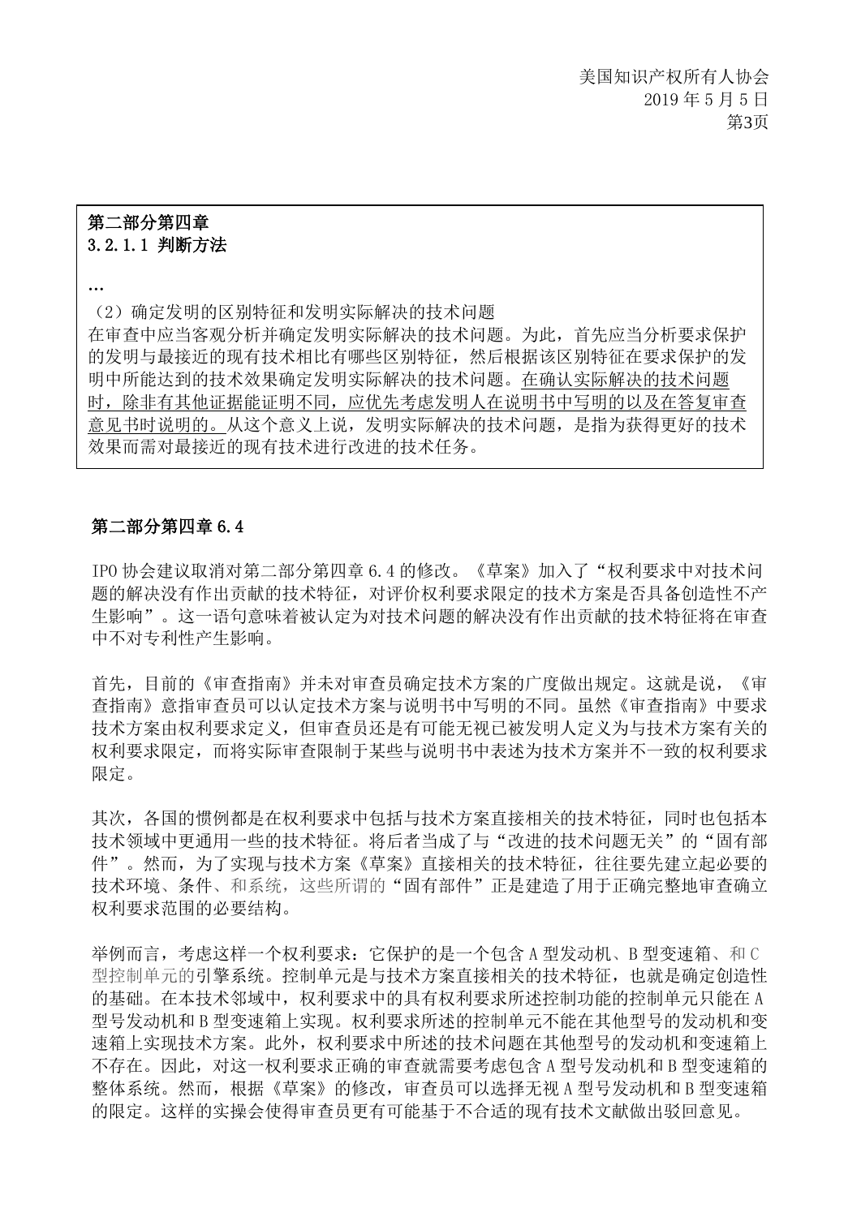### 第二部分第四章 3.2.1.1 判断方法

…

(2)确定发明的区别特征和发明实际解决的技术问题

在审查中应当客观分析并确定发明实际解决的技术问题。为此,首先应当分析要求保护 的发明与最接近的现有技术相比有哪些区别特征,然后根据该区别特征在要求保护的发 明中所能达到的技术效果确定发明实际解决的技术问题。在确认实际解决的技术问题 时,除非有其他证据能证明不同,应优先考虑发明人在说明书中写明的以及在答复审查 意见书时说明的。从这个意义上说,发明实际解决的技术问题,是指为获得更好的技术 效果而需对最接近的现有技术进行改进的技术任务。

#### 第二部分第四章 6.4

IPO 协会建议取消对第二部分第四章 6.4 的修改。《草案》加入了"权利要求中对技术问 题的解决没有作出贡献的技术特征,对评价权利要求限定的技术方案是否具备创造性不产 生影响"。这一语句意味着被认定为对技术问题的解决没有作出贡献的技术特征将在审查 中不对专利性产生影响。

首先,目前的《审查指南》并未对审查员确定技术方案的广度做出规定。这就是说,《审 查指南》意指审查员可以认定技术方案与说明书中写明的不同。虽然《审查指南》中要求 技术方案由权利要求定义,但审查员还是有可能无视已被发明人定义为与技术方案有关的 权利要求限定,而将实际审查限制于某些与说明书中表述为技术方案并不一致的权利要求 限定。

其次,各国的惯例都是在权利要求中包括与技术方案直接相关的技术特征,同时也包括本 技术领域中更通用一些的技术特征。将后者当成了与"改进的技术问题无关"的"固有部 件"。然而,为了实现与技术方案《草案》直接相关的技术特征,往往要先建立起必要的 技术环境、条件、和系统,这些所谓的"固有部件"正是建造了用于正确完整地审查确立 权利要求范围的必要结构。

举例而言,考虑这样一个权利要求:它保护的是一个包含 A 型发动机、B 型变速箱、和 C 型控制单元的引擎系统。控制单元是与技术方案直接相关的技术特征,也就是确定创造性 的基础。在本技术邻域中,权利要求中的具有权利要求所述控制功能的控制单元只能在 A 型号发动机和 B 型变速箱上实现。权利要求所述的控制单元不能在其他型号的发动机和变 速箱上实现技术方案。此外,权利要求中所述的技术问题在其他型号的发动机和变速箱上 不存在。因此,对这一权利要求正确的审查就需要考虑包含 A 型号发动机和 B 型变速箱的 整体系统。然而,根据《草案》的修改,审查员可以选择无视 A 型号发动机和 B 型变速箱 的限定。这样的实操会使得审查员更有可能基于不合适的现有技术文献做出驳回意见。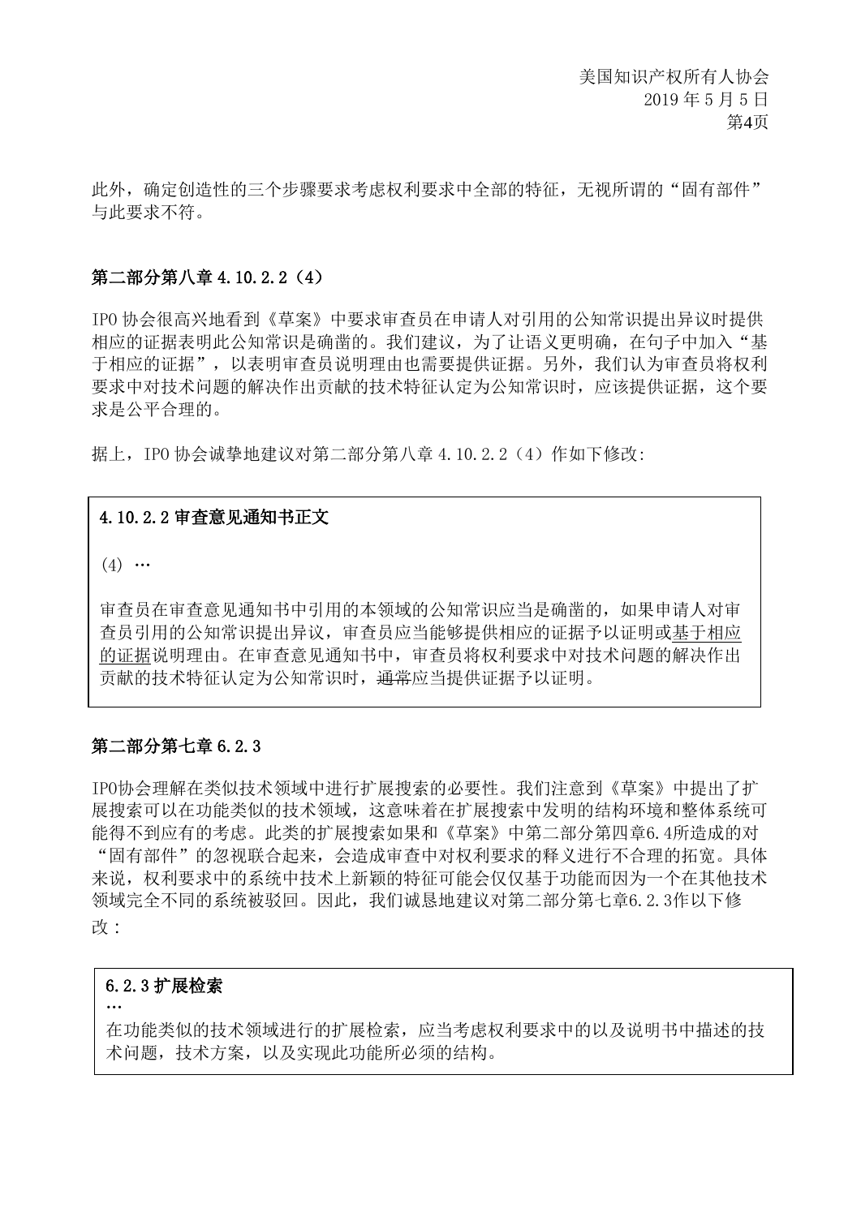此外,确定创造性的三个步骤要求考虑权利要求中全部的特征,无视所谓的"固有部件" 与此要求不符。

#### 第二部分第八章 4.10.2.2(4)

IPO 协会很高兴地看到《草案》中要求审查员在申请人对引用的公知常识提出异议时提供 相应的证据表明此公知常识是确凿的。我们建议,为了让语义更明确,在句子中加入"基 于相应的证据",以表明审查员说明理由也需要提供证据。另外,我们认为审查员将权利 要求中对技术问题的解决作出贡献的技术特征认定为公知常识时,应该提供证据,这个要 求是公平合理的。

据上, IPO 协会诚挚地建议对第二部分第八章 4.10.2.2 (4) 作如下修改:

### 4.10.2.2 审查意见通知书正文

 $(4)$  …

审查员在审查意见通知书中引用的本领域的公知常识应当是确凿的,如果申请人对审 查员引用的公知常识提出异议,审查员应当能够提供相应的证据予以证明或基于相应 的证据说明理由。在审查意见通知书中,审查员将权利要求中对技术问题的解决作出 贡献的技术特征认定为公知常识时,通常应当提供证据予以证明。

#### 第二部分第七章 6.2.3

IPO协会理解在类似技术领域中进行扩展搜索的必要性。我们注意到《草案》中提出了扩 展搜索可以在功能类似的技术领域,这意味着在扩展搜索中发明的结构环境和整体系统可 能得不到应有的考虑。此类的扩展搜索如果和《草案》中第二部分第四章6.4所造成的对 "固有部件"的忽视联合起来,会造成审查中对权利要求的释义进行不合理的拓宽。具体 来说,权利要求中的系统中技术上新颖的特征可能会仅仅基于功能而因为一个在其他技术 领域完全不同的系统被驳回。因此,我们诚恳地建议对第二部分第七章6.2.3作以下修 改:

#### 6.2.3 扩展检索

…

在功能类似的技术领域进行的扩展检索,应当考虑权利要求中的以及说明书中描述的技 术问题,技术方案,以及实现此功能所必须的结构。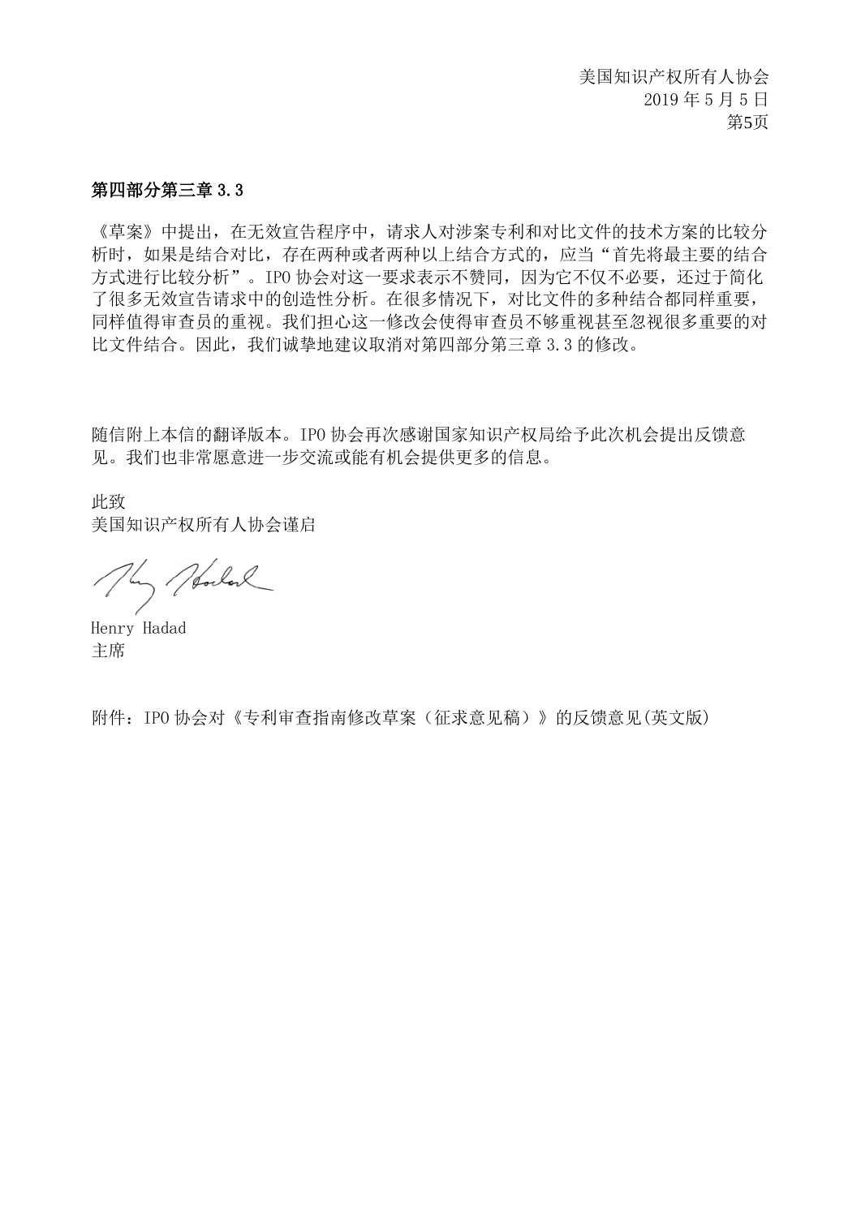#### 第四部分第三章 3.3

《草案》中提出,在无效宣告程序中,请求人对涉案专利和对比文件的技术方案的比较分 析时,如果是结合对比,存在两种或者两种以上结合方式的,应当"首先将最主要的结合 方式进行比较分析"。IPO 协会对这一要求表示不赞同,因为它不仅不必要,还过于简化 了很多无效宣告请求中的创造性分析。在很多情况下,对比文件的多种结合都同样重要, 同样值得审查员的重视。我们担心这一修改会使得审查员不够重视甚至忽视很多重要的对 比文件结合。因此,我们诚挚地建议取消对第四部分第三章 3.3 的修改。

随信附上本信的翻译版本。IPO 协会再次感谢国家知识产权局给予此次机会提出反馈意 见。我们也非常愿意进一步交流或能有机会提供更多的信息。

此致 美国知识产权所有人协会谨启

They Holand

Henry Hadad 主席

附件:IPO 协会对《专利审查指南修改草案(征求意见稿)》的反馈意见(英文版)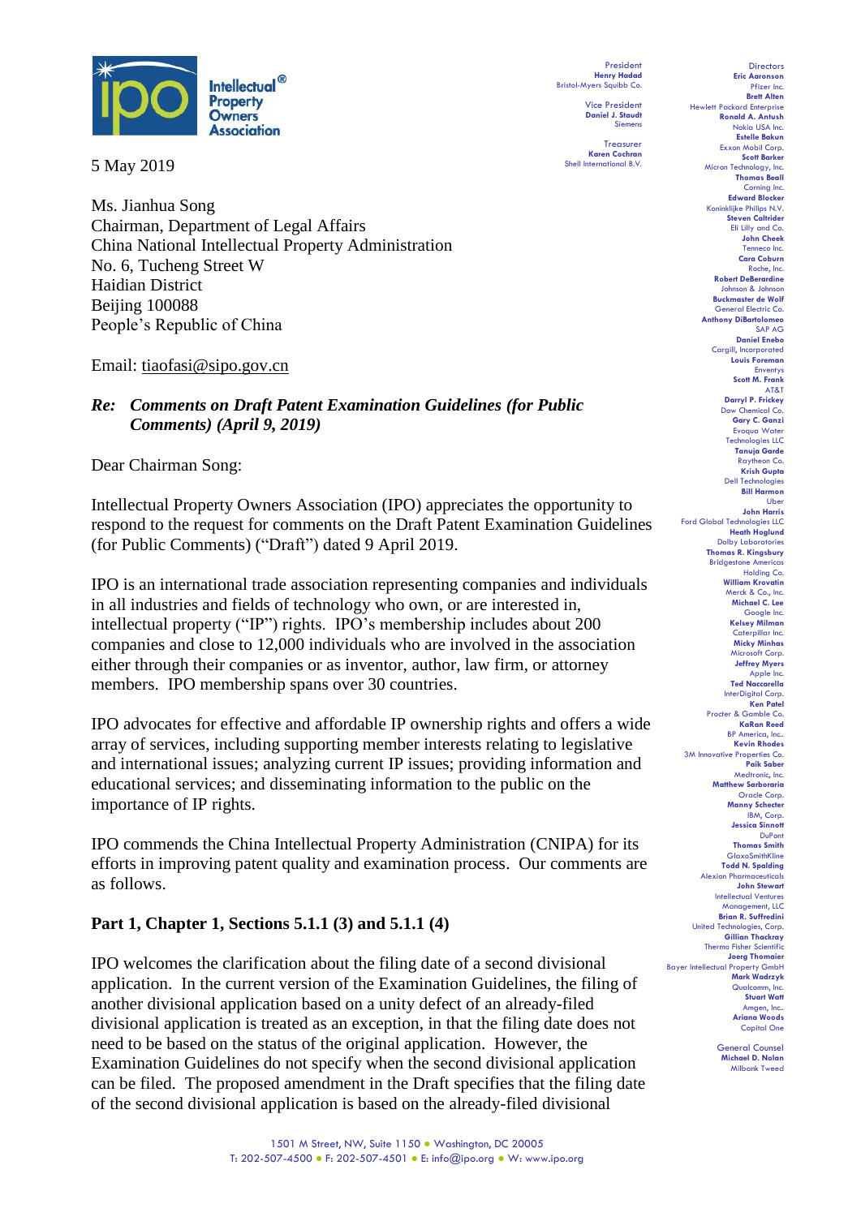

5 May 2019

Ms. Jianhua Song Chairman, Department of Legal Affairs China National Intellectual Property Administration No. 6, Tucheng Street W Haidian District Beijing 100088 People's Republic of China

Email: tiaofasi@sipo.gov.cn

# *Re: Comments on Draft Patent Examination Guidelines (for Public Comments) (April 9, 2019)*

Dear Chairman Song:

Intellectual Property Owners Association (IPO) appreciates the opportunity to respond to the request for comments on the Draft Patent Examination Guidelines (for Public Comments) ("Draft") dated 9 April 2019.

IPO is an international trade association representing companies and individuals in all industries and fields of technology who own, or are interested in, intellectual property ("IP") rights. IPO's membership includes about 200 companies and close to 12,000 individuals who are involved in the association either through their companies or as inventor, author, law firm, or attorney members. IPO membership spans over 30 countries.

IPO advocates for effective and affordable IP ownership rights and offers a wide array of services, including supporting member interests relating to legislative and international issues; analyzing current IP issues; providing information and educational services; and disseminating information to the public on the importance of IP rights.

IPO commends the China Intellectual Property Administration (CNIPA) for its efforts in improving patent quality and examination process. Our comments are as follows.

# **Part 1, Chapter 1, Sections 5.1.1 (3) and 5.1.1 (4)**

IPO welcomes the clarification about the filing date of a second divisional application. In the current version of the Examination Guidelines, the filing of another divisional application based on a unity defect of an already-filed divisional application is treated as an exception, in that the filing date does not need to be based on the status of the original application. However, the Examination Guidelines do not specify when the second divisional application can be filed. The proposed amendment in the Draft specifies that the filing date of the second divisional application is based on the already-filed divisional

President **Henry Hadad** Bristol-Myers Squibb Co.

> Vice President **Daniel J. Staudt** Siemens

**Treasurer Karen Cochran** Shell International B.V.

**Eric Aaronson**  Pfizer Inc. **Brett Alten** Hewlett Packard Enterprise **Ronald A. Antush** Nokia USA Inc. **Estelle Bakun** Exxon Mobil Corp. **Scott Barker Micron Technology, Inc. Thomas Beall** Corning Inc. **Edward Blocker** Koninklijke Philips N.V. **Steven Caltrider** Eli Lilly and Co. **John Cheek** Tenneco Inc. **Cara Coburn** Roche, Inc. **Robert DeBerardine** Johnson & Johnson **Buckmaster de Wolf** General Electric Co. **Anthony DiBartolomeo** SAP AG **Daniel Enebo** Cargill, Incorporated **Louis Foreman Enventys Scott M. Frank** AT&T **Darryl P. Frickey** Dow Chemical Co. **Gary C. Ganzi** Evoqua Water Technologies LLC **Tanuja Garde** Raytheon Co. **Krish Gupta** Dell Technologies **Bill Harmon** Uber **John Harris** Ford Global Technologies LLC **Heath Hoglund** Dolby Laboratories **Thomas R. Kingsbury Bridgestone America** Holding Co. **William Krovatin** Merck & Co., Inc. **Michael C. Lee** Google Inc. **Kelsey Milman** Caterpillar Inc. **Micky Minhas** Microsoft Corp. **Jeffrey Myers** Apple Inc. **Ted Naccarella** InterDigital Corp. **Ken Patel** Procter & Gamble Co. **KaRan Reed** BP America, Inc.. **Kevin Rhodes** 3M Innovative Properties Co. **Paik Saber** Medtronic, Inc. **Matthew Sarboraria** Oracle Corp. **Manny Schecter** IBM, Corp. **Jessica Sinnott** DuPont **Thomas Smith GlaxoSmithKline Todd N. Spalding** Alexion Pharma **John Stewart** Intellectual Ventures Management, LLC **Brian R. Suffredini** United Technologies, Corp. **Gillian Thackray** Thermo Fisher Scientific **Joerg Thomaier** Bayer Intellectual Property GmbH **Mark Wadrzyk** Qualcomm, Inc. **Stuart Watt** Amgen, Inc.. **Ariana Woods** Capital One

**Directors** 

General Counsel **Michael D. Nolan** Milbank Tweed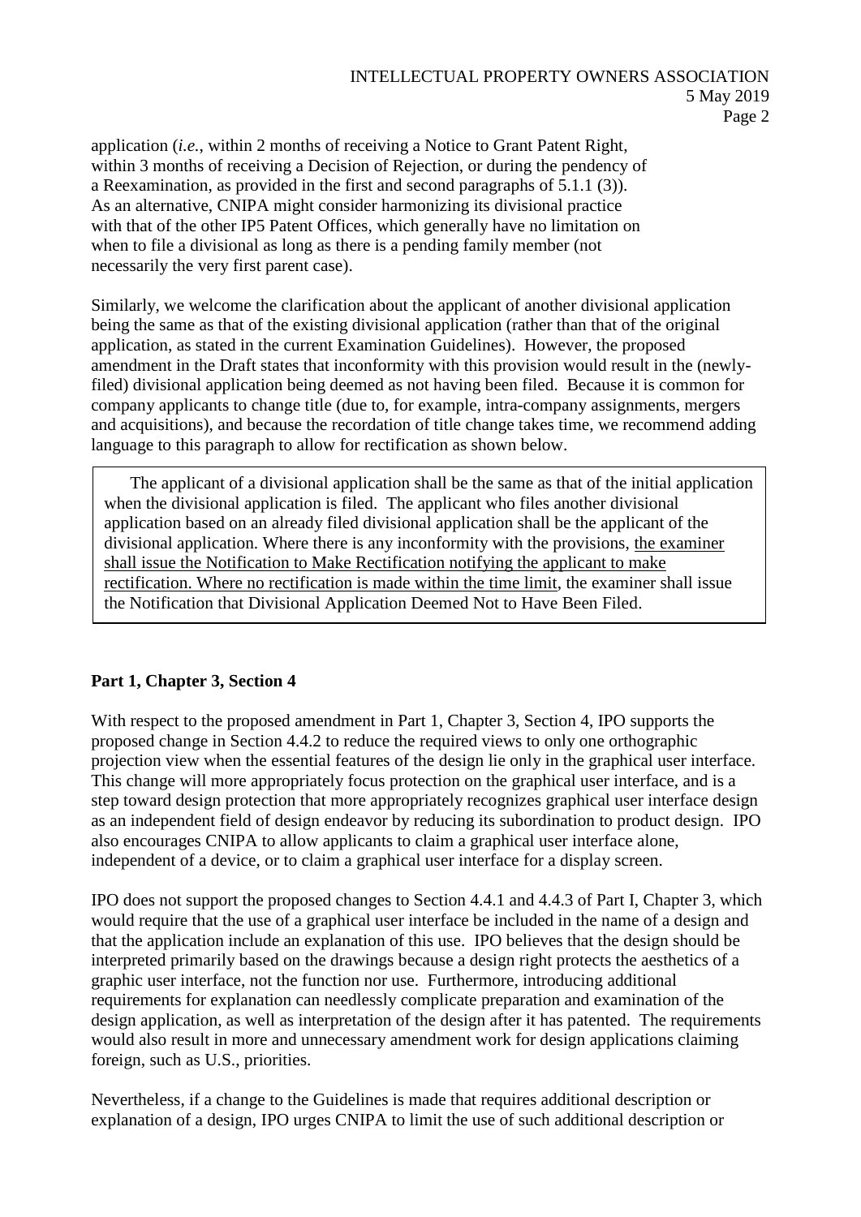application (*i.e.*, within 2 months of receiving a Notice to Grant Patent Right, within 3 months of receiving a Decision of Rejection, or during the pendency of a Reexamination, as provided in the first and second paragraphs of 5.1.1 (3)). As an alternative, CNIPA might consider harmonizing its divisional practice with that of the other IP5 Patent Offices, which generally have no limitation on when to file a divisional as long as there is a pending family member (not necessarily the very first parent case).

Similarly, we welcome the clarification about the applicant of another divisional application being the same as that of the existing divisional application (rather than that of the original application, as stated in the current Examination Guidelines). However, the proposed amendment in the Draft states that inconformity with this provision would result in the (newlyfiled) divisional application being deemed as not having been filed. Because it is common for company applicants to change title (due to, for example, intra-company assignments, mergers and acquisitions), and because the recordation of title change takes time, we recommend adding language to this paragraph to allow for rectification as shown below.

The applicant of a divisional application shall be the same as that of the initial application when the divisional application is filed. The applicant who files another divisional application based on an already filed divisional application shall be the applicant of the divisional application. Where there is any inconformity with the provisions, the examiner shall issue the Notification to Make Rectification notifying the applicant to make rectification. Where no rectification is made within the time limit, the examiner shall issue the Notification that Divisional Application Deemed Not to Have Been Filed.

# **Part 1, Chapter 3, Section 4**

With respect to the proposed amendment in Part 1, Chapter 3, Section 4, IPO supports the proposed change in Section 4.4.2 to reduce the required views to only one orthographic projection view when the essential features of the design lie only in the graphical user interface. This change will more appropriately focus protection on the graphical user interface, and is a step toward design protection that more appropriately recognizes graphical user interface design as an independent field of design endeavor by reducing its subordination to product design. IPO also encourages CNIPA to allow applicants to claim a graphical user interface alone, independent of a device, or to claim a graphical user interface for a display screen.

IPO does not support the proposed changes to Section 4.4.1 and 4.4.3 of Part I, Chapter 3, which would require that the use of a graphical user interface be included in the name of a design and that the application include an explanation of this use. IPO believes that the design should be interpreted primarily based on the drawings because a design right protects the aesthetics of a graphic user interface, not the function nor use. Furthermore, introducing additional requirements for explanation can needlessly complicate preparation and examination of the design application, as well as interpretation of the design after it has patented. The requirements would also result in more and unnecessary amendment work for design applications claiming foreign, such as U.S., priorities.

Nevertheless, if a change to the Guidelines is made that requires additional description or explanation of a design, IPO urges CNIPA to limit the use of such additional description or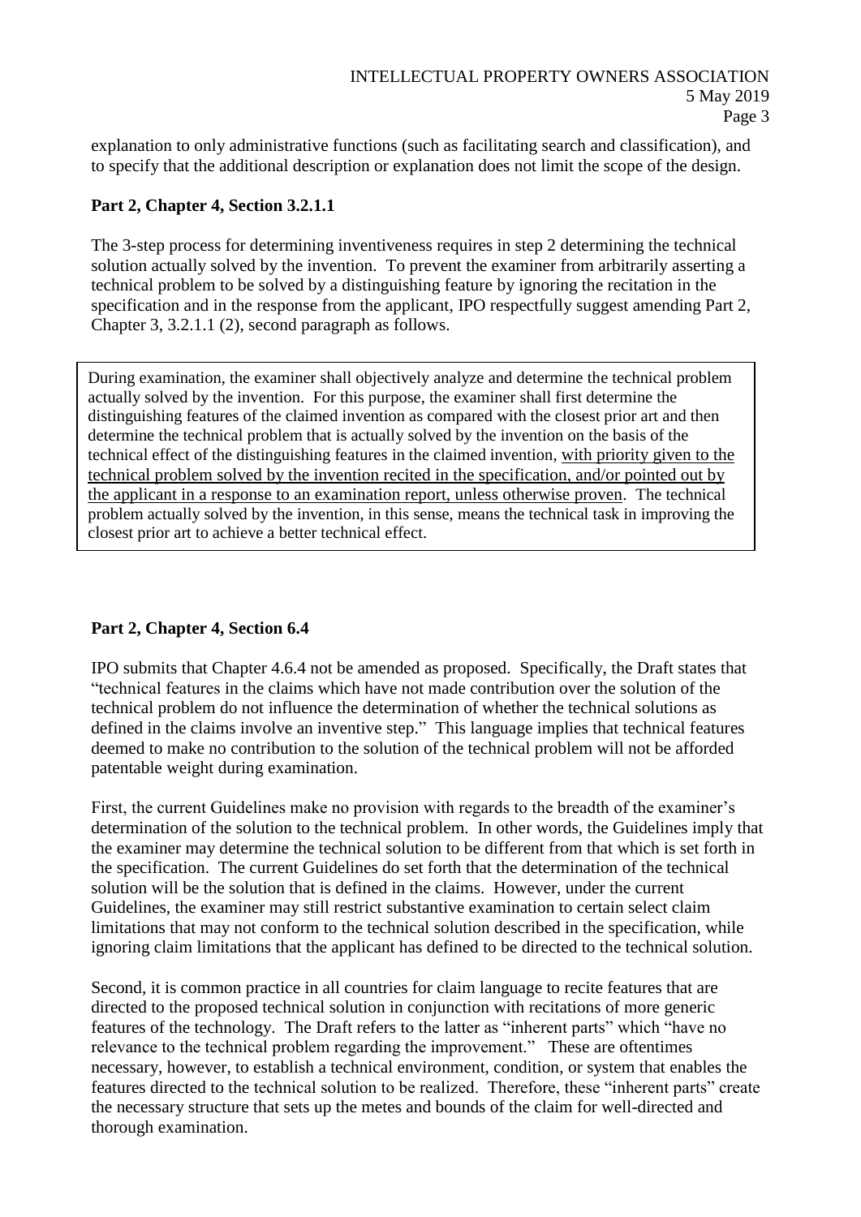explanation to only administrative functions (such as facilitating search and classification), and to specify that the additional description or explanation does not limit the scope of the design.

# **Part 2, Chapter 4, Section 3.2.1.1**

The 3-step process for determining inventiveness requires in step 2 determining the technical solution actually solved by the invention. To prevent the examiner from arbitrarily asserting a technical problem to be solved by a distinguishing feature by ignoring the recitation in the specification and in the response from the applicant, IPO respectfully suggest amending Part 2, Chapter 3, 3.2.1.1 (2), second paragraph as follows.

During examination, the examiner shall objectively analyze and determine the technical problem actually solved by the invention. For this purpose, the examiner shall first determine the distinguishing features of the claimed invention as compared with the closest prior art and then determine the technical problem that is actually solved by the invention on the basis of the technical effect of the distinguishing features in the claimed invention, with priority given to the technical problem solved by the invention recited in the specification, and/or pointed out by the applicant in a response to an examination report, unless otherwise proven. The technical problem actually solved by the invention, in this sense, means the technical task in improving the closest prior art to achieve a better technical effect.

# **Part 2, Chapter 4, Section 6.4**

IPO submits that Chapter 4.6.4 not be amended as proposed. Specifically, the Draft states that "technical features in the claims which have not made contribution over the solution of the technical problem do not influence the determination of whether the technical solutions as defined in the claims involve an inventive step." This language implies that technical features deemed to make no contribution to the solution of the technical problem will not be afforded patentable weight during examination.

First, the current Guidelines make no provision with regards to the breadth of the examiner's determination of the solution to the technical problem. In other words, the Guidelines imply that the examiner may determine the technical solution to be different from that which is set forth in the specification. The current Guidelines do set forth that the determination of the technical solution will be the solution that is defined in the claims. However, under the current Guidelines, the examiner may still restrict substantive examination to certain select claim limitations that may not conform to the technical solution described in the specification, while ignoring claim limitations that the applicant has defined to be directed to the technical solution.

Second, it is common practice in all countries for claim language to recite features that are directed to the proposed technical solution in conjunction with recitations of more generic features of the technology. The Draft refers to the latter as "inherent parts" which "have no relevance to the technical problem regarding the improvement." These are oftentimes necessary, however, to establish a technical environment, condition, or system that enables the features directed to the technical solution to be realized. Therefore, these "inherent parts" create the necessary structure that sets up the metes and bounds of the claim for well-directed and thorough examination.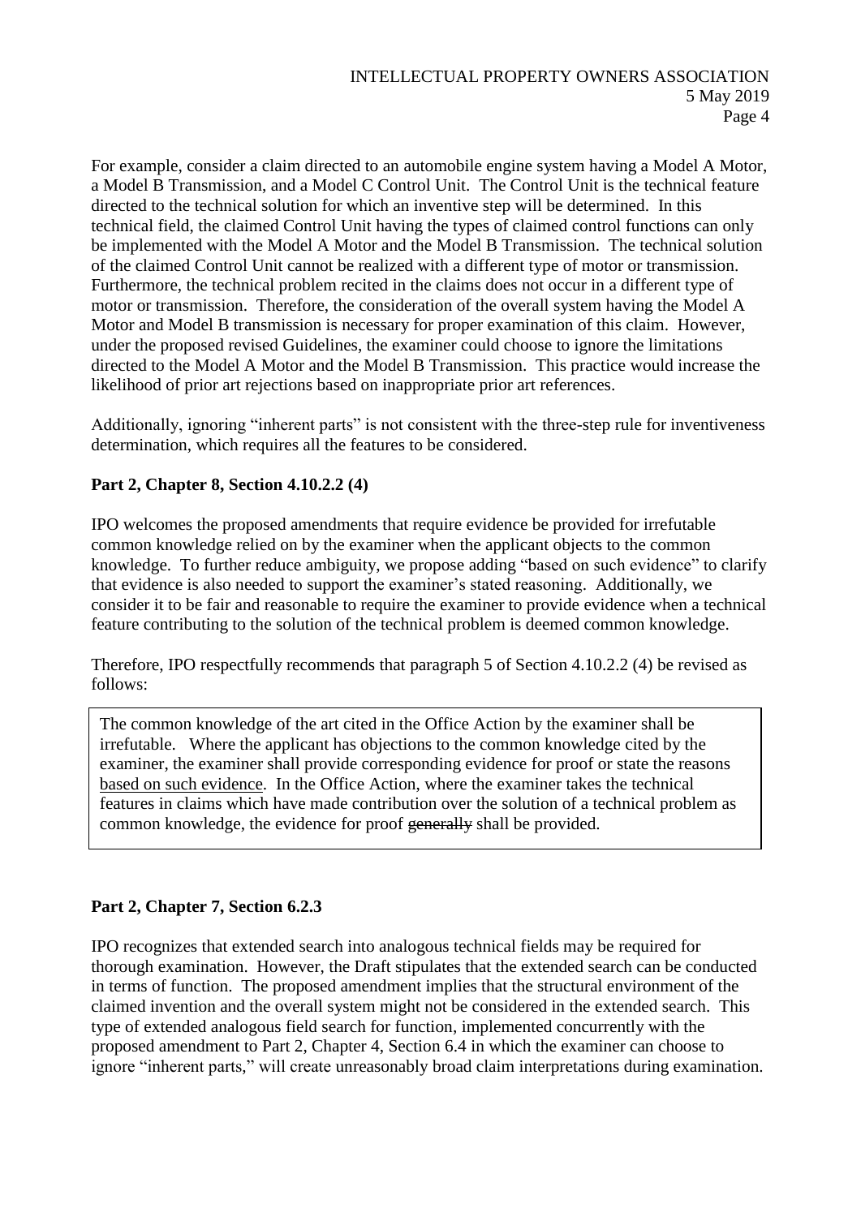For example, consider a claim directed to an automobile engine system having a Model A Motor, a Model B Transmission, and a Model C Control Unit. The Control Unit is the technical feature directed to the technical solution for which an inventive step will be determined. In this technical field, the claimed Control Unit having the types of claimed control functions can only be implemented with the Model A Motor and the Model B Transmission. The technical solution of the claimed Control Unit cannot be realized with a different type of motor or transmission. Furthermore, the technical problem recited in the claims does not occur in a different type of motor or transmission. Therefore, the consideration of the overall system having the Model A Motor and Model B transmission is necessary for proper examination of this claim. However, under the proposed revised Guidelines, the examiner could choose to ignore the limitations directed to the Model A Motor and the Model B Transmission. This practice would increase the likelihood of prior art rejections based on inappropriate prior art references.

Additionally, ignoring "inherent parts" is not consistent with the three-step rule for inventiveness determination, which requires all the features to be considered.

# **Part 2, Chapter 8, Section 4.10.2.2 (4)**

IPO welcomes the proposed amendments that require evidence be provided for irrefutable common knowledge relied on by the examiner when the applicant objects to the common knowledge. To further reduce ambiguity, we propose adding "based on such evidence" to clarify that evidence is also needed to support the examiner's stated reasoning. Additionally, we consider it to be fair and reasonable to require the examiner to provide evidence when a technical feature contributing to the solution of the technical problem is deemed common knowledge.

Therefore, IPO respectfully recommends that paragraph 5 of Section 4.10.2.2 (4) be revised as follows:

The common knowledge of the art cited in the Office Action by the examiner shall be irrefutable. Where the applicant has objections to the common knowledge cited by the examiner, the examiner shall provide corresponding evidence for proof or state the reasons based on such evidence. In the Office Action, where the examiner takes the technical features in claims which have made contribution over the solution of a technical problem as common knowledge, the evidence for proof generally shall be provided.

# **Part 2, Chapter 7, Section 6.2.3**

IPO recognizes that extended search into analogous technical fields may be required for thorough examination. However, the Draft stipulates that the extended search can be conducted in terms of function. The proposed amendment implies that the structural environment of the claimed invention and the overall system might not be considered in the extended search. This type of extended analogous field search for function, implemented concurrently with the proposed amendment to Part 2, Chapter 4, Section 6.4 in which the examiner can choose to ignore "inherent parts," will create unreasonably broad claim interpretations during examination.